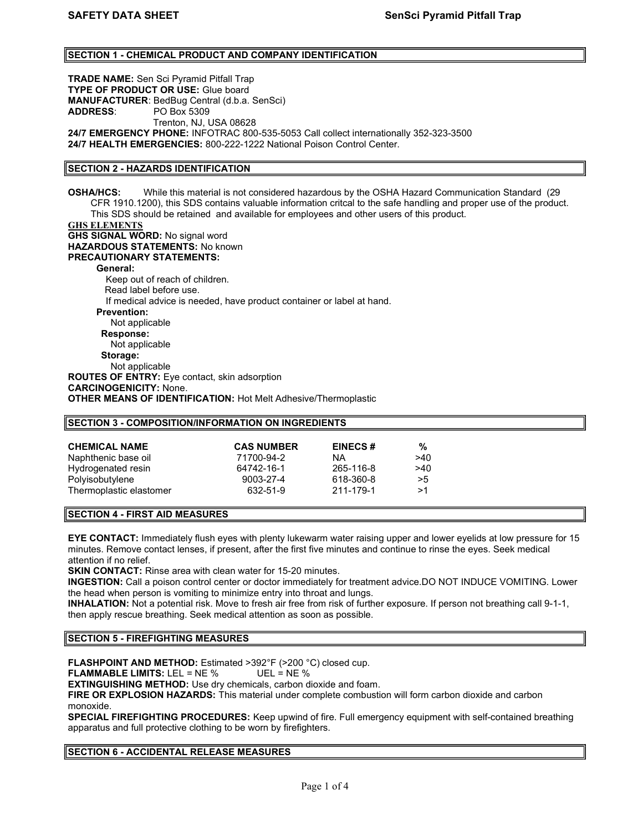# SECTION 1 - CHEMICAL PRODUCT AND COMPANY IDENTIFICATION

TRADE NAME: Sen Sci Pyramid Pitfall Trap TYPE OF PRODUCT OR USE: Glue board MANUFACTURER: BedBug Central (d.b.a. SenSci) ADDRESS: PO Box 5309 Trenton, NJ, USA 08628 24/7 EMERGENCY PHONE: INFOTRAC 800-535-5053 Call collect internationally 352-323-3500 24/7 HEALTH EMERGENCIES: 800-222-1222 National Poison Control Center.

# SECTION 2 - HAZARDS IDENTIFICATION

OSHA/HCS: While this material is not considered hazardous by the OSHA Hazard Communication Standard (29 CFR 1910.1200), this SDS contains valuable information critcal to the safe handling and proper use of the product. This SDS should be retained and available for employees and other users of this product.

# GHS ELEMENTS

**GHS SIGNAL WORD: No signal word** HAZARDOUS STATEMENTS: No known PRECAUTIONARY STATEMENTS: General: Keep out of reach of children. Read label before use. If medical advice is needed, have product container or label at hand. Prevention: Not applicable Response: Not applicable Storage: Not applicable ROUTES OF ENTRY: Eye contact, skin adsorption CARCINOGENICITY: None. OTHER MEANS OF IDENTIFICATION: Hot Melt Adhesive/Thermoplastic

#### SECTION 3 - COMPOSITION/INFORMATION ON INGREDIENTS

| <b>CHEMICAL NAME</b>    | <b>CAS NUMBER</b> | <b>EINECS#</b> | %   |
|-------------------------|-------------------|----------------|-----|
| Naphthenic base oil     | 71700-94-2        | ΝA             | >40 |
| Hydrogenated resin      | 64742-16-1        | 265-116-8      | >40 |
| Polyisobutylene         | 9003-27-4         | 618-360-8      | >5  |
| Thermoplastic elastomer | 632-51-9          | 211-179-1      | >1  |

### SECTION 4 - FIRST AID MEASURES

EYE CONTACT: Immediately flush eyes with plenty lukewarm water raising upper and lower eyelids at low pressure for 15 minutes. Remove contact lenses, if present, after the first five minutes and continue to rinse the eyes. Seek medical attention if no relief.

SKIN CONTACT: Rinse area with clean water for 15-20 minutes.

INGESTION: Call a poison control center or doctor immediately for treatment advice.DO NOT INDUCE VOMITING. Lower the head when person is vomiting to minimize entry into throat and lungs.

INHALATION: Not a potential risk. Move to fresh air free from risk of further exposure. If person not breathing call 9-1-1, then apply rescue breathing. Seek medical attention as soon as possible.

#### SECTION 5 - FIREFIGHTING MEASURES

FLASHPOINT AND METHOD: Estimated >392°F (>200 °C) closed cup.

FLAMMABLE LIMITS: LEL = NE % UEL = NE %

EXTINGUISHING METHOD: Use dry chemicals, carbon dioxide and foam.

FIRE OR EXPLOSION HAZARDS: This material under complete combustion will form carbon dioxide and carbon monoxide.

SPECIAL FIREFIGHTING PROCEDURES: Keep upwind of fire. Full emergency equipment with self-contained breathing apparatus and full protective clothing to be worn by firefighters.

### SECTION 6 - ACCIDENTAL RELEASE MEASURES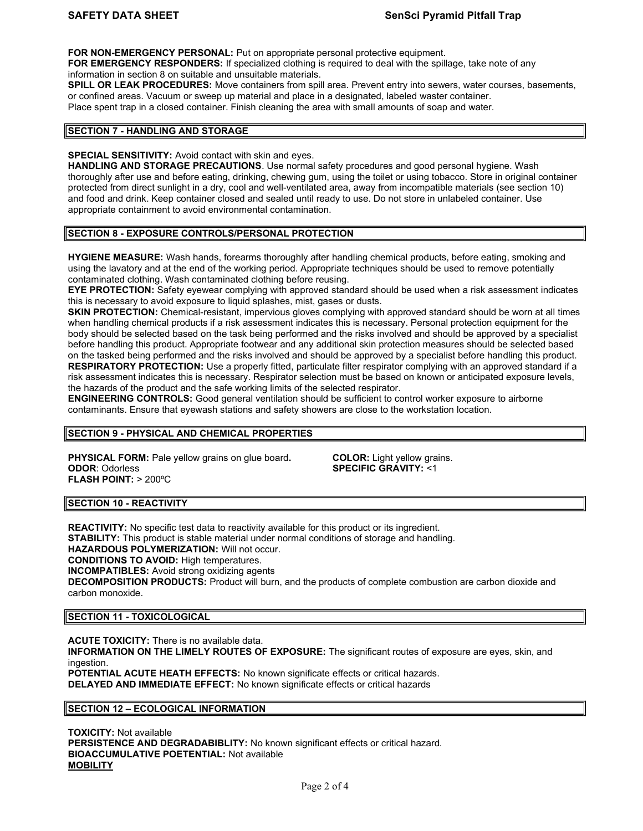FOR NON-EMERGENCY PERSONAL: Put on appropriate personal protective equipment.

FOR EMERGENCY RESPONDERS: If specialized clothing is required to deal with the spillage, take note of any information in section 8 on suitable and unsuitable materials.

SPILL OR LEAK PROCEDURES: Move containers from spill area. Prevent entry into sewers, water courses, basements, or confined areas. Vacuum or sweep up material and place in a designated, labeled waster container. Place spent trap in a closed container. Finish cleaning the area with small amounts of soap and water.

#### SECTION 7 - HANDLING AND STORAGE

### SPECIAL SENSITIVITY: Avoid contact with skin and eyes.

HANDLING AND STORAGE PRECAUTIONS. Use normal safety procedures and good personal hygiene. Wash thoroughly after use and before eating, drinking, chewing gum, using the toilet or using tobacco. Store in original container protected from direct sunlight in a dry, cool and well-ventilated area, away from incompatible materials (see section 10) and food and drink. Keep container closed and sealed until ready to use. Do not store in unlabeled container. Use appropriate containment to avoid environmental contamination.

# SECTION 8 - EXPOSURE CONTROLS/PERSONAL PROTECTION

HYGIENE MEASURE: Wash hands, forearms thoroughly after handling chemical products, before eating, smoking and using the lavatory and at the end of the working period. Appropriate techniques should be used to remove potentially contaminated clothing. Wash contaminated clothing before reusing.

EYE PROTECTION: Safety eyewear complying with approved standard should be used when a risk assessment indicates this is necessary to avoid exposure to liquid splashes, mist, gases or dusts.

SKIN PROTECTION: Chemical-resistant, impervious gloves complying with approved standard should be worn at all times when handling chemical products if a risk assessment indicates this is necessary. Personal protection equipment for the body should be selected based on the task being performed and the risks involved and should be approved by a specialist before handling this product. Appropriate footwear and any additional skin protection measures should be selected based on the tasked being performed and the risks involved and should be approved by a specialist before handling this product. RESPIRATORY PROTECTION: Use a properly fitted, particulate filter respirator complying with an approved standard if a risk assessment indicates this is necessary. Respirator selection must be based on known or anticipated exposure levels, the hazards of the product and the safe working limits of the selected respirator.

ENGINEERING CONTROLS: Good general ventilation should be sufficient to control worker exposure to airborne contaminants. Ensure that eyewash stations and safety showers are close to the workstation location.

# SECTION 9 - PHYSICAL AND CHEMICAL PROPERTIES

**PHYSICAL FORM:** Pale yellow grains on glue board. **COLOR:** Light yellow grains. ODOR: Odorless SPECIFIC GRAVITY: <1 FLASH POINT: > 200ºC

# SECTION 10 - REACTIVITY

**REACTIVITY:** No specific test data to reactivity available for this product or its ingredient. **STABILITY:** This product is stable material under normal conditions of storage and handling. HAZARDOUS POLYMERIZATION: Will not occur. CONDITIONS TO AVOID: High temperatures. INCOMPATIBLES: Avoid strong oxidizing agents DECOMPOSITION PRODUCTS: Product will burn, and the products of complete combustion are carbon dioxide and carbon monoxide.

### SECTION 11 - TOXICOLOGICAL

ACUTE TOXICITY: There is no available data. INFORMATION ON THE LIMELY ROUTES OF EXPOSURE: The significant routes of exposure are eyes, skin, and ingestion.

POTENTIAL ACUTE HEATH EFFECTS: No known significate effects or critical hazards. DELAYED AND IMMEDIATE EFFECT: No known significate effects or critical hazards

### SECTION 12 – ECOLOGICAL INFORMATION

TOXICITY: Not available PERSISTENCE AND DEGRADABIBLITY: No known significant effects or critical hazard. BIOACCUMULATIVE POETENTIAL: Not available **MOBILITY**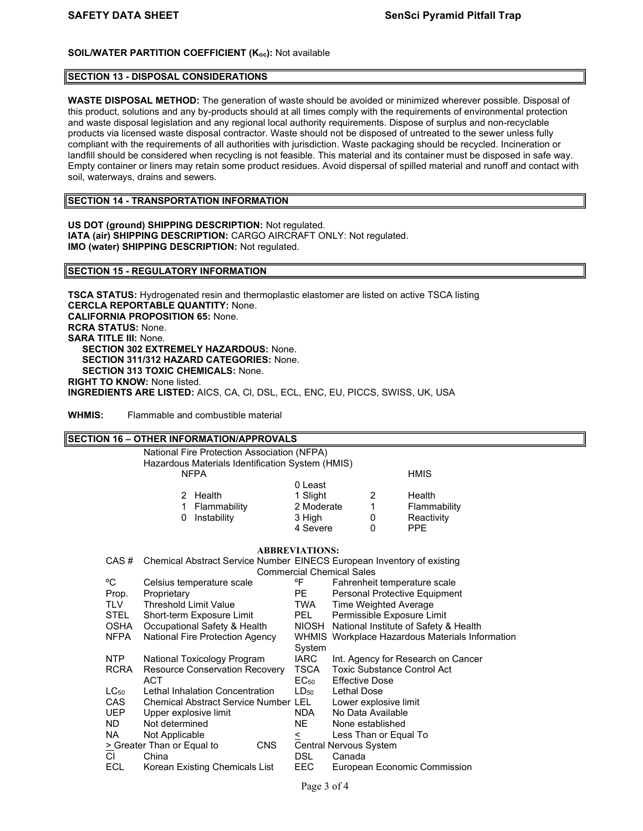# SOIL/WATER PARTITION COEFFICIENT (K<sub>oc</sub>): Not available

### SECTION 13 - DISPOSAL CONSIDERATIONS

WASTE DISPOSAL METHOD: The generation of waste should be avoided or minimized wherever possible. Disposal of this product, solutions and any by-products should at all times comply with the requirements of environmental protection and waste disposal legislation and any regional local authority requirements. Dispose of surplus and non-recyclable products via licensed waste disposal contractor. Waste should not be disposed of untreated to the sewer unless fully compliant with the requirements of all authorities with jurisdiction. Waste packaging should be recycled. Incineration or landfill should be considered when recycling is not feasible. This material and its container must be disposed in safe way. Empty container or liners may retain some product residues. Avoid dispersal of spilled material and runoff and contact with soil, waterways, drains and sewers.

### SECTION 14 - TRANSPORTATION INFORMATION

US DOT (ground) SHIPPING DESCRIPTION: Not regulated. IATA (air) SHIPPING DESCRIPTION: CARGO AIRCRAFT ONLY: Not regulated. IMO (water) SHIPPING DESCRIPTION: Not regulated.

### SECTION 15 - REGULATORY INFORMATION

TSCA STATUS: Hydrogenated resin and thermoplastic elastomer are listed on active TSCA listing CERCLA REPORTABLE QUANTITY: None. CALIFORNIA PROPOSITION 65: None. RCRA STATUS: None. SARA TITLE III: None. SECTION 302 EXTREMELY HAZARDOUS: None. SECTION 311/312 HAZARD CATEGORIES: None. SECTION 313 TOXIC CHEMICALS: None. RIGHT TO KNOW: None listed. INGREDIENTS ARE LISTED: AICS, CA, Cl, DSL, ECL, ENC, EU, PICCS, SWISS, UK, USA

WHMIS: Flammable and combustible material

# SECTION 16 – OTHER INFORMATION/APPROVALS National Fire Protection Association (NFPA) Hazardous Materials Identification System (HMIS) NFPA **HMIS**  0 Least 2 Health 1 Slight 2 Health 1 Flammability 2 Moderate 1 Flammability 0 Instability 3 High 0 Reactivity 4 Severe 0 PPE ABBREVIATIONS: CAS # Chemical Abstract Service Number EINECS European Inventory of existing Commercial Chemical Sales<br>Commercial Chemical Sales<br>Fahrenheit (Pahrenheit Celsius temperature scale <sup>or or</sup> Fahrenheit temperature scale Prop. Proprietary **PE** Personal Protective Equipment TLV Threshold Limit Value TWA Time Weighted Average STEL Short-term Exposure Limit PEL Permissible Exposure Limit OSHA Occupational Safety & Health NIOSH National Institute of Safety & Health NFPA National Fire Protection Agency WHMIS Workplace Hazardous Materials Information System<br>NTP National Toxicology Program 1ARC National Toxicology Program IARC Int. Agency for Research on Cancer RCRA Resource Conservation Recovery TSCA Toxic Substance Control Act ACT EC<sub>50</sub> Effective Dose LC<sub>50</sub> Lethal Inhalation Concentration LD<sub>50</sub> Lethal Dose CAS Chemical Abstract Service Number LEL Lower explosive limit UEP Upper explosive limit NDA No Data Available ND Not determined NE None established NA Not Applicable  $\leq$  Less Than or Equal To  $\geq$  Greater Than or Equal to CNS Central Nervous System  $\geq$  Greater Than or Equal to CNS<br>Cl China China DSL Canada ECL Korean Existing Chemicals List EEC European Economic Commission